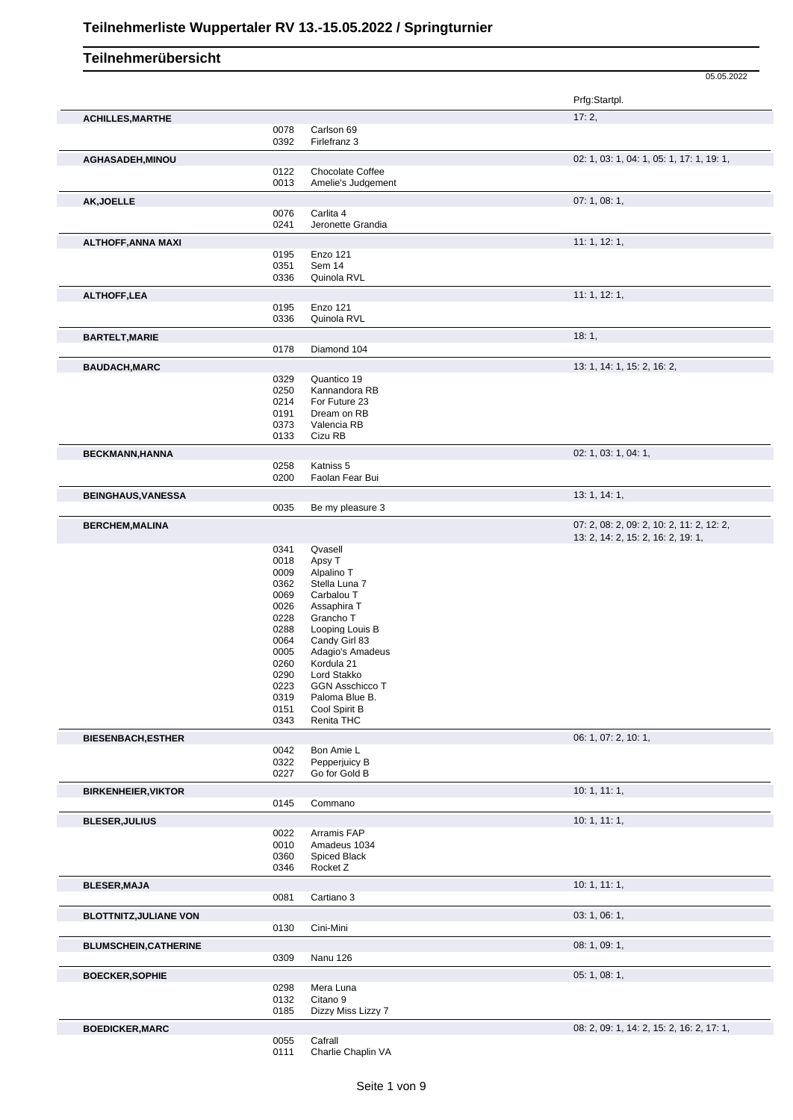|                               |              |                                | 05.05.2022                                                                      |
|-------------------------------|--------------|--------------------------------|---------------------------------------------------------------------------------|
|                               |              |                                | Prfg:Startpl.                                                                   |
| <b>ACHILLES, MARTHE</b>       |              |                                | 17:2,                                                                           |
|                               | 0078         | Carlson 69                     |                                                                                 |
|                               | 0392         | Firlefranz 3                   |                                                                                 |
| AGHASADEH, MINOU              |              |                                | 02: 1, 03: 1, 04: 1, 05: 1, 17: 1, 19: 1,                                       |
|                               | 0122         | Chocolate Coffee               |                                                                                 |
|                               | 0013         | Amelie's Judgement             |                                                                                 |
| AK, JOELLE                    |              |                                | 07: 1, 08: 1,                                                                   |
|                               | 0076<br>0241 | Carlita 4                      |                                                                                 |
|                               |              | Jeronette Grandia              |                                                                                 |
| <b>ALTHOFF, ANNA MAXI</b>     |              |                                | 11: 1, 12: 1,                                                                   |
|                               | 0195<br>0351 | Enzo 121<br>Sem 14             |                                                                                 |
|                               | 0336         | Quinola RVL                    |                                                                                 |
|                               |              |                                |                                                                                 |
| <b>ALTHOFF,LEA</b>            |              |                                | 11: 1, 12: 1,                                                                   |
|                               | 0195<br>0336 | Enzo 121<br>Quinola RVL        |                                                                                 |
|                               |              |                                |                                                                                 |
| <b>BARTELT, MARIE</b>         |              |                                | 18:1,                                                                           |
|                               | 0178         | Diamond 104                    |                                                                                 |
| <b>BAUDACH, MARC</b>          |              |                                | 13: 1, 14: 1, 15: 2, 16: 2,                                                     |
|                               | 0329         | Quantico 19                    |                                                                                 |
|                               | 0250         | Kannandora RB<br>For Future 23 |                                                                                 |
|                               | 0214<br>0191 | Dream on RB                    |                                                                                 |
|                               | 0373         | Valencia RB                    |                                                                                 |
|                               | 0133         | Cizu RB                        |                                                                                 |
| <b>BECKMANN, HANNA</b>        |              |                                | 02: 1, 03: 1, 04: 1,                                                            |
|                               | 0258         | Katniss 5                      |                                                                                 |
|                               | 0200         | Faolan Fear Bui                |                                                                                 |
| <b>BEINGHAUS, VANESSA</b>     |              |                                | 13:1, 14:1,                                                                     |
|                               | 0035         | Be my pleasure 3               |                                                                                 |
|                               |              |                                |                                                                                 |
| <b>BERCHEM, MALINA</b>        |              |                                | 07: 2, 08: 2, 09: 2, 10: 2, 11: 2, 12: 2,<br>13: 2, 14: 2, 15: 2, 16: 2, 19: 1, |
|                               | 0341         | Qvasell                        |                                                                                 |
|                               | 0018         | Apsy T                         |                                                                                 |
|                               | 0009         | Alpalino T                     |                                                                                 |
|                               | 0362         | Stella Luna 7                  |                                                                                 |
|                               | 0069         | Carbalou T                     |                                                                                 |
|                               | 0026         | Assaphira T                    |                                                                                 |
|                               | 0228<br>0288 | Grancho T<br>Looping Louis B   |                                                                                 |
|                               | 0064         | Candy Girl 83                  |                                                                                 |
|                               | 0005         | Adagio's Amadeus               |                                                                                 |
|                               | 0260         | Kordula 21                     |                                                                                 |
|                               | 0290         | Lord Stakko                    |                                                                                 |
|                               | 0223         | <b>GGN Asschicco T</b>         |                                                                                 |
|                               | 0319         | Paloma Blue B.                 |                                                                                 |
|                               | 0151         | Cool Spirit B                  |                                                                                 |
|                               | 0343         | Renita THC                     |                                                                                 |
| <b>BIESENBACH, ESTHER</b>     |              |                                | 06: 1, 07: 2, 10: 1,                                                            |
|                               | 0042         | Bon Amie L                     |                                                                                 |
|                               | 0322<br>0227 | Pepperjuicy B<br>Go for Gold B |                                                                                 |
|                               |              |                                |                                                                                 |
| <b>BIRKENHEIER, VIKTOR</b>    |              |                                | 10:1, 11:1,                                                                     |
|                               | 0145         | Commano                        |                                                                                 |
| <b>BLESER, JULIUS</b>         |              |                                | 10:1, 11:1,                                                                     |
|                               | 0022         | Arramis FAP                    |                                                                                 |
|                               | 0010         | Amadeus 1034                   |                                                                                 |
|                               | 0360<br>0346 | Spiced Black<br>Rocket Z       |                                                                                 |
|                               |              |                                |                                                                                 |
| <b>BLESER, MAJA</b>           |              | Cartiano 3                     | 10: 1, 11: 1,                                                                   |
|                               | 0081         |                                |                                                                                 |
| <b>BLOTTNITZ, JULIANE VON</b> |              |                                | 03: 1, 06: 1,                                                                   |
|                               | 0130         | Cini-Mini                      |                                                                                 |
| <b>BLUMSCHEIN, CATHERINE</b>  |              |                                | 08: 1, 09: 1,                                                                   |
|                               | 0309         | Nanu 126                       |                                                                                 |
| <b>BOECKER, SOPHIE</b>        |              |                                | 05: 1, 08: 1,                                                                   |
|                               | 0298         | Mera Luna                      |                                                                                 |
|                               | 0132         | Citano 9                       |                                                                                 |
|                               | 0185         | Dizzy Miss Lizzy 7             |                                                                                 |
| <b>BOEDICKER, MARC</b>        |              |                                | 08: 2, 09: 1, 14: 2, 15: 2, 16: 2, 17: 1,                                       |
|                               | 0055         | Cafrall                        |                                                                                 |
|                               | 0111         | Charlie Chaplin VA             |                                                                                 |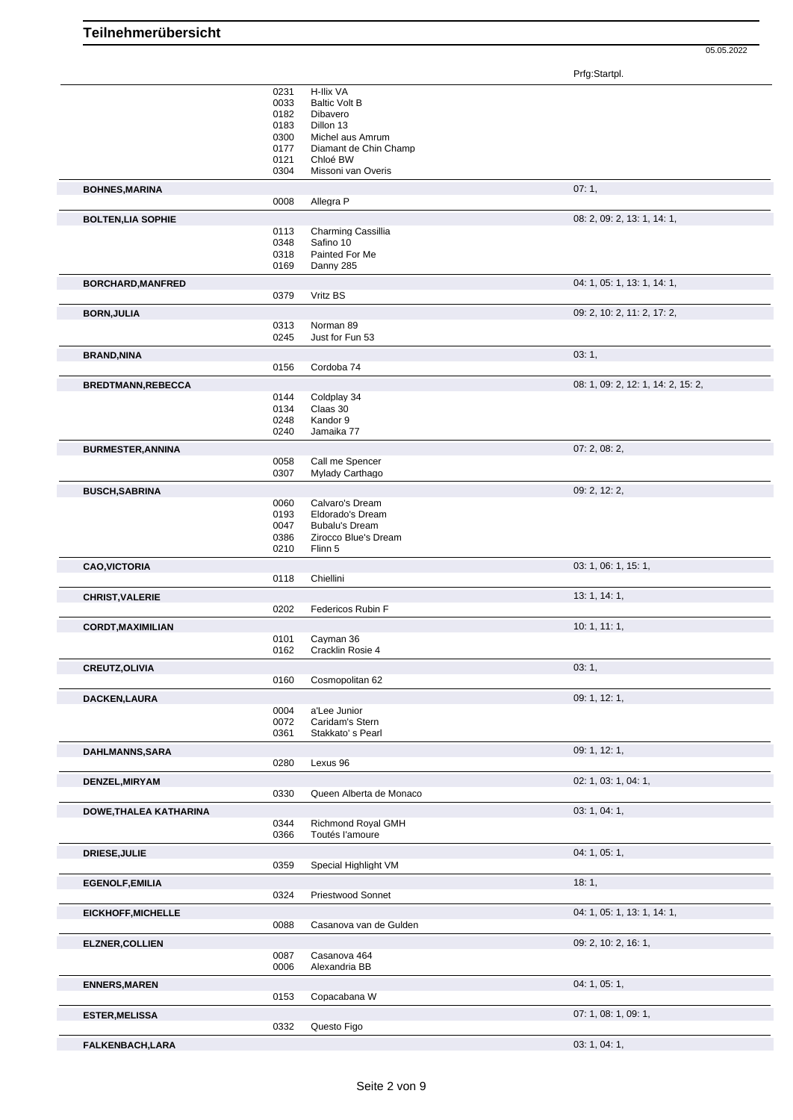05.05.2022

Prfg:Startpl.

|                               | 0231         | H-Ilix VA                          |                                    |
|-------------------------------|--------------|------------------------------------|------------------------------------|
|                               | 0033         | <b>Baltic Volt B</b>               |                                    |
|                               | 0182         | Dibavero                           |                                    |
|                               | 0183         | Dillon 13                          |                                    |
|                               | 0300         | Michel aus Amrum                   |                                    |
|                               | 0177         | Diamant de Chin Champ              |                                    |
|                               | 0121         | Chloé BW                           |                                    |
|                               | 0304         | Missoni van Overis                 |                                    |
| <b>BOHNES, MARINA</b>         |              |                                    | 07:1,                              |
|                               | 0008         | Allegra P                          |                                    |
| <b>BOLTEN, LIA SOPHIE</b>     |              |                                    | 08: 2, 09: 2, 13: 1, 14: 1,        |
|                               | 0113         | Charming Cassillia                 |                                    |
|                               | 0348         | Safino 10                          |                                    |
|                               | 0318         | Painted For Me                     |                                    |
|                               | 0169         | Danny 285                          |                                    |
| <b>BORCHARD, MANFRED</b>      |              |                                    | 04: 1, 05: 1, 13: 1, 14: 1,        |
|                               | 0379         | Vritz BS                           |                                    |
|                               |              |                                    |                                    |
| <b>BORN, JULIA</b>            |              |                                    | 09: 2, 10: 2, 11: 2, 17: 2,        |
|                               | 0313         | Norman 89                          |                                    |
|                               | 0245         | Just for Fun 53                    |                                    |
| <b>BRAND, NINA</b>            |              |                                    | 03:1,                              |
|                               | 0156         | Cordoba 74                         |                                    |
| <b>BREDTMANN,REBECCA</b>      |              |                                    | 08: 1, 09: 2, 12: 1, 14: 2, 15: 2, |
|                               | 0144         | Coldplay 34                        |                                    |
|                               | 0134         | Claas 30                           |                                    |
|                               | 0248         | Kandor 9                           |                                    |
|                               | 0240         | Jamaika 77                         |                                    |
|                               |              |                                    |                                    |
| <b>BURMESTER, ANNINA</b>      |              |                                    | 07: 2, 08: 2,                      |
|                               | 0058<br>0307 | Call me Spencer<br>Mylady Carthago |                                    |
|                               |              |                                    |                                    |
| <b>BUSCH, SABRINA</b>         |              |                                    | 09: 2, 12: 2,                      |
|                               | 0060         | Calvaro's Dream                    |                                    |
|                               | 0193         | Eldorado's Dream                   |                                    |
|                               | 0047         | <b>Bubalu's Dream</b>              |                                    |
|                               | 0386         | Zirocco Blue's Dream               |                                    |
|                               | 0210         | Flinn 5                            |                                    |
| <b>CAO, VICTORIA</b>          |              |                                    | 03: 1, 06: 1, 15: 1,               |
|                               | 0118         | Chiellini                          |                                    |
| <b>CHRIST, VALERIE</b>        |              |                                    | 13: 1, 14: 1,                      |
|                               | 0202         | Federicos Rubin F                  |                                    |
|                               |              |                                    |                                    |
| <b>CORDT, MAXIMILIAN</b>      |              |                                    | 10:1, 11:1,                        |
|                               | 0101<br>0162 | Cayman 36<br>Cracklin Rosie 4      |                                    |
|                               |              |                                    |                                    |
| <b>CREUTZ, OLIVIA</b>         |              |                                    | 03:1,                              |
|                               | 0160         | Cosmopolitan 62                    |                                    |
| <b>DACKEN,LAURA</b>           |              |                                    |                                    |
|                               |              |                                    |                                    |
|                               |              |                                    | 09: 1, 12: 1,                      |
|                               | 0004<br>0072 | a'Lee Junior<br>Caridam's Stern    |                                    |
|                               | 0361         | Stakkato's Pearl                   |                                    |
|                               |              |                                    |                                    |
| DAHLMANNS, SARA               |              |                                    | 09: 1, 12: 1,                      |
|                               | 0280         | Lexus 96                           |                                    |
| DENZEL, MIRYAM                |              |                                    | 02: 1, 03: 1, 04: 1,               |
|                               | 0330         | Queen Alberta de Monaco            |                                    |
| <b>DOWE, THALEA KATHARINA</b> |              |                                    | 03: 1, 04: 1,                      |
|                               | 0344         | Richmond Royal GMH                 |                                    |
|                               | 0366         | Toutés l'amoure                    |                                    |
|                               |              |                                    |                                    |
| <b>DRIESE, JULIE</b>          |              |                                    | 04: 1, 05: 1,                      |
|                               | 0359         | Special Highlight VM               |                                    |
| <b>EGENOLF, EMILIA</b>        |              |                                    | 18:1,                              |
|                               | 0324         | <b>Priestwood Sonnet</b>           |                                    |
| EICKHOFF, MICHELLE            |              |                                    | 04: 1, 05: 1, 13: 1, 14: 1,        |
|                               | 0088         | Casanova van de Gulden             |                                    |
|                               |              |                                    |                                    |
| <b>ELZNER, COLLIEN</b>        |              |                                    | 09: 2, 10: 2, 16: 1,               |
|                               | 0087         | Casanova 464                       |                                    |
|                               | 0006         | Alexandria BB                      |                                    |
| <b>ENNERS, MAREN</b>          |              |                                    | 04: 1, 05: 1,                      |
|                               | 0153         | Copacabana W                       |                                    |
|                               |              |                                    |                                    |
| <b>ESTER, MELISSA</b>         |              |                                    | 07: 1, 08: 1, 09: 1,               |
| FALKENBACH, LARA              | 0332         | Questo Figo                        | 03: 1, 04: 1,                      |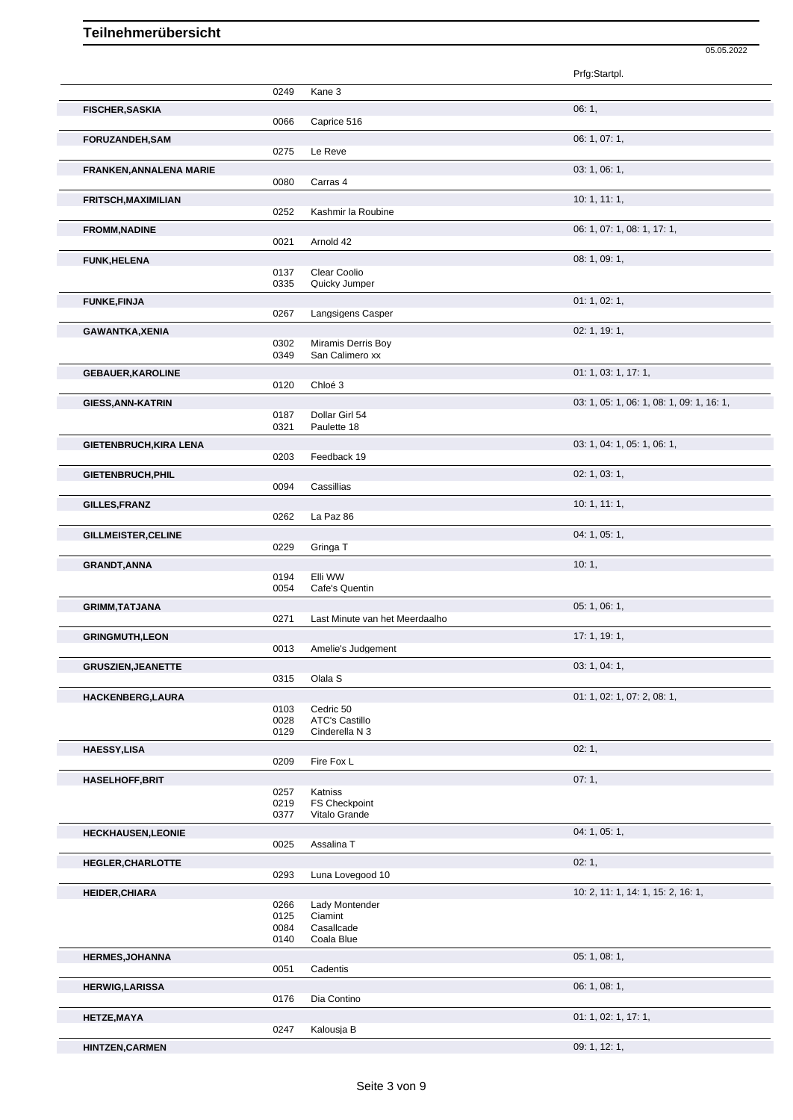|                               |      |                                | Prfg:Startpl.                             |
|-------------------------------|------|--------------------------------|-------------------------------------------|
|                               | 0249 | Kane 3                         |                                           |
|                               |      |                                | 06:1,                                     |
| <b>FISCHER, SASKIA</b>        | 0066 | Caprice 516                    |                                           |
|                               |      |                                |                                           |
| <b>FORUZANDEH,SAM</b>         |      |                                | 06: 1, 07: 1,                             |
|                               | 0275 | Le Reve                        |                                           |
| FRANKEN, ANNALENA MARIE       |      |                                | 03: 1, 06: 1,                             |
|                               | 0080 | Carras 4                       |                                           |
| <b>FRITSCH, MAXIMILIAN</b>    |      |                                | 10:1, 11:1,                               |
|                               | 0252 | Kashmir la Roubine             |                                           |
| <b>FROMM, NADINE</b>          |      |                                | 06: 1, 07: 1, 08: 1, 17: 1,               |
|                               | 0021 | Arnold 42                      |                                           |
| <b>FUNK, HELENA</b>           |      |                                | 08: 1, 09: 1,                             |
|                               | 0137 | Clear Coolio                   |                                           |
|                               | 0335 | Quicky Jumper                  |                                           |
| <b>FUNKE, FINJA</b>           |      |                                | 01: 1, 02: 1,                             |
|                               | 0267 | Langsigens Casper              |                                           |
| <b>GAWANTKA, XENIA</b>        |      |                                | 02: 1, 19: 1,                             |
|                               | 0302 | Miramis Derris Boy             |                                           |
|                               | 0349 | San Calimero xx                |                                           |
|                               |      |                                | 01: 1, 03: 1, 17: 1,                      |
| <b>GEBAUER, KAROLINE</b>      | 0120 | Chloé 3                        |                                           |
|                               |      |                                |                                           |
| <b>GIESS, ANN-KATRIN</b>      | 0187 | Dollar Girl 54                 | 03: 1, 05: 1, 06: 1, 08: 1, 09: 1, 16: 1, |
|                               | 0321 | Paulette 18                    |                                           |
|                               |      |                                |                                           |
| <b>GIETENBRUCH, KIRA LENA</b> | 0203 | Feedback 19                    | 03: 1, 04: 1, 05: 1, 06: 1,               |
|                               |      |                                |                                           |
| GIETENBRUCH, PHIL             |      |                                | 02: 1, 03: 1,                             |
|                               | 0094 | Cassillias                     |                                           |
| GILLES, FRANZ                 |      |                                | 10:1, 11:1,                               |
|                               | 0262 | La Paz 86                      |                                           |
| GILLMEISTER, CELINE           |      |                                | 04: 1, 05: 1,                             |
|                               | 0229 | Gringa T                       |                                           |
| <b>GRANDT, ANNA</b>           |      |                                | 10:1,                                     |
|                               | 0194 | Elli WW                        |                                           |
|                               | 0054 | Cafe's Quentin                 |                                           |
| <b>GRIMM, TATJANA</b>         |      |                                | 05: 1, 06: 1,                             |
|                               | 0271 | Last Minute van het Meerdaalho |                                           |
| <b>GRINGMUTH,LEON</b>         |      |                                | 17:1, 19:1,                               |
|                               | 0013 | Amelie's Judgement             |                                           |
| <b>GRUSZIEN, JEANETTE</b>     |      |                                | 03: 1, 04: 1,                             |
|                               | 0315 | Olala S                        |                                           |
| HACKENBERG, LAURA             |      |                                | 01: 1, 02: 1, 07: 2, 08: 1,               |
|                               | 0103 | Cedric 50                      |                                           |
|                               | 0028 | <b>ATC's Castillo</b>          |                                           |
|                               | 0129 | Cinderella N 3                 |                                           |
| <b>HAESSY, LISA</b>           |      |                                | 02:1,                                     |
|                               | 0209 | Fire Fox L                     |                                           |
| <b>HASELHOFF, BRIT</b>        |      |                                | 07:1,                                     |
|                               | 0257 | Katniss                        |                                           |
|                               | 0219 | <b>FS Checkpoint</b>           |                                           |
|                               | 0377 | Vitalo Grande                  |                                           |
| <b>HECKHAUSEN,LEONIE</b>      |      |                                | 04: 1, 05: 1,                             |
|                               | 0025 | Assalina T                     |                                           |
| HEGLER, CHARLOTTE             |      |                                | 02:1,                                     |
|                               | 0293 | Luna Lovegood 10               |                                           |
| <b>HEIDER, CHIARA</b>         |      |                                | 10: 2, 11: 1, 14: 1, 15: 2, 16: 1,        |
|                               | 0266 | Lady Montender                 |                                           |
|                               | 0125 | Ciamint                        |                                           |
|                               | 0084 | Casallcade                     |                                           |
|                               | 0140 | Coala Blue                     |                                           |
| <b>HERMES, JOHANNA</b>        |      |                                | 05: 1, 08: 1,                             |
|                               | 0051 | Cadentis                       |                                           |
| <b>HERWIG, LARISSA</b>        |      |                                | 06: 1, 08: 1,                             |
|                               | 0176 | Dia Contino                    |                                           |
| <b>HETZE, MAYA</b>            |      |                                | 01: 1, 02: 1, 17: 1,                      |
|                               | 0247 | Kalousja B                     |                                           |

05.05.2022

**HINTZEN,CARMEN** 09: 1, 12: 1,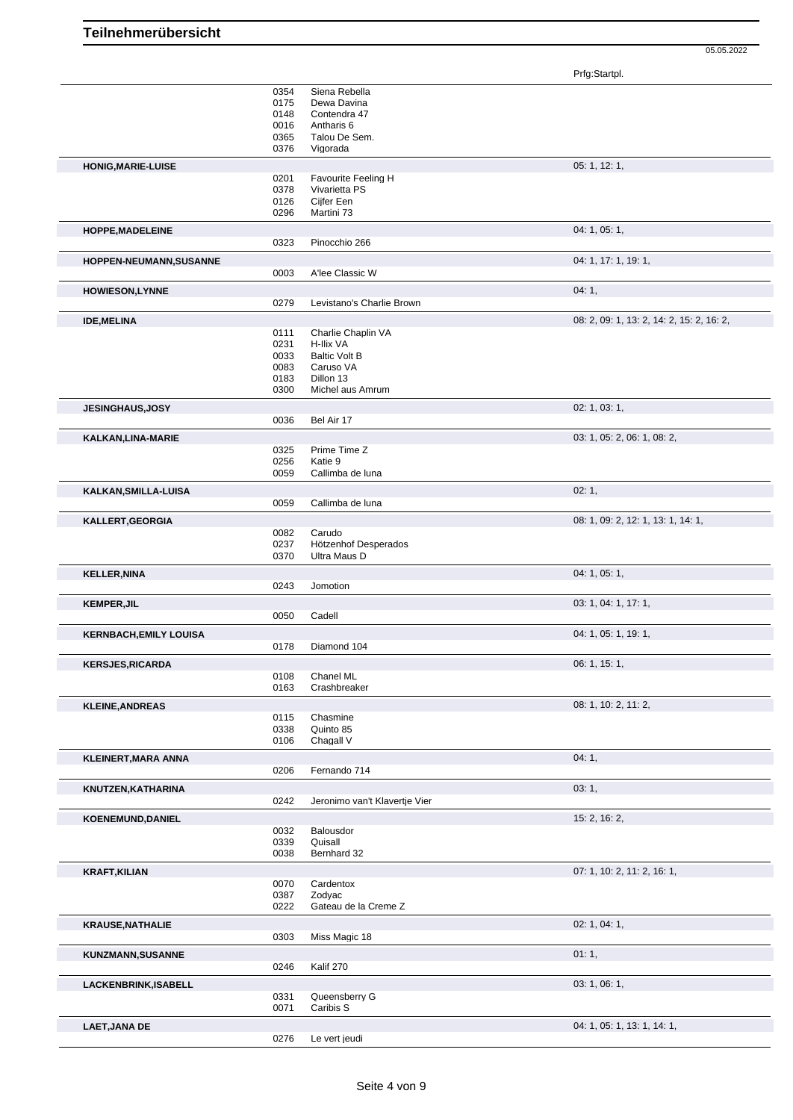05.05.2022

|                               |              |                               | Prfg:Startpl.                             |
|-------------------------------|--------------|-------------------------------|-------------------------------------------|
|                               | 0354         | Siena Rebella                 |                                           |
|                               | 0175         | Dewa Davina                   |                                           |
|                               | 0148         | Contendra 47                  |                                           |
|                               | 0016         | Antharis 6                    |                                           |
|                               | 0365         | Talou De Sem.                 |                                           |
|                               | 0376         | Vigorada                      |                                           |
| <b>HONIG, MARIE-LUISE</b>     |              |                               | 05: 1, 12: 1,                             |
|                               | 0201         | Favourite Feeling H           |                                           |
|                               | 0378         | Vivarietta PS                 |                                           |
|                               | 0126         | Cijfer Een                    |                                           |
|                               | 0296         | Martini 73                    |                                           |
| HOPPE, MADELEINE              |              |                               | 04: 1, 05: 1,                             |
|                               | 0323         | Pinocchio 266                 |                                           |
| HOPPEN-NEUMANN, SUSANNE       |              |                               | 04: 1, 17: 1, 19: 1,                      |
|                               | 0003         | A'lee Classic W               |                                           |
|                               |              |                               | 04:1,                                     |
| <b>HOWIESON,LYNNE</b>         | 0279         | Levistano's Charlie Brown     |                                           |
|                               |              |                               |                                           |
| <b>IDE, MELINA</b>            |              |                               | 08: 2, 09: 1, 13: 2, 14: 2, 15: 2, 16: 2, |
|                               | 0111         | Charlie Chaplin VA            |                                           |
|                               | 0231         | H-Ilix VA                     |                                           |
|                               | 0033         | <b>Baltic Volt B</b>          |                                           |
|                               | 0083<br>0183 | Caruso VA<br>Dillon 13        |                                           |
|                               | 0300         | Michel aus Amrum              |                                           |
|                               |              |                               |                                           |
| <b>JESINGHAUS, JOSY</b>       | 0036         | Bel Air 17                    | 02: 1, 03: 1,                             |
|                               |              |                               |                                           |
| KALKAN, LINA-MARIE            |              |                               | 03: 1, 05: 2, 06: 1, 08: 2,               |
|                               | 0325         | Prime Time Z                  |                                           |
|                               | 0256         | Katie 9                       |                                           |
|                               | 0059         | Callimba de luna              |                                           |
| KALKAN, SMILLA-LUISA          |              |                               | 02:1,                                     |
|                               | 0059         | Callimba de luna              |                                           |
| KALLERT, GEORGIA              |              |                               | 08: 1, 09: 2, 12: 1, 13: 1, 14: 1,        |
|                               | 0082         | Carudo                        |                                           |
|                               | 0237         | Hötzenhof Desperados          |                                           |
|                               | 0370         | Ultra Maus D                  |                                           |
| <b>KELLER, NINA</b>           |              |                               | 04: 1, 05: 1,                             |
|                               | 0243         | Jomotion                      |                                           |
| <b>KEMPER, JIL</b>            |              |                               | 03: 1, 04: 1, 17: 1,                      |
|                               | 0050         | Cadell                        |                                           |
| <b>KERNBACH, EMILY LOUISA</b> |              |                               | 04: 1, 05: 1, 19: 1,                      |
|                               | 0178         | Diamond 104                   |                                           |
|                               |              |                               |                                           |
| <b>KERSJES, RICARDA</b>       | 0108         | Chanel ML                     | 06: 1, 15: 1,                             |
|                               | 0163         | Crashbreaker                  |                                           |
|                               |              |                               |                                           |
| <b>KLEINE, ANDREAS</b>        |              |                               | 08: 1, 10: 2, 11: 2,                      |
|                               | 0115         | Chasmine                      |                                           |
|                               | 0338<br>0106 | Quinto 85<br>Chagall V        |                                           |
|                               |              |                               |                                           |
| <b>KLEINERT, MARA ANNA</b>    |              |                               | 04:1,                                     |
|                               | 0206         | Fernando 714                  |                                           |
| KNUTZEN, KATHARINA            |              |                               | 03: 1,                                    |
|                               | 0242         | Jeronimo van't Klavertje Vier |                                           |
| KOENEMUND, DANIEL             |              |                               | 15: 2, 16: 2,                             |
|                               | 0032         | Balousdor                     |                                           |
|                               | 0339         | Quisall                       |                                           |
|                               | 0038         | Bernhard 32                   |                                           |
| <b>KRAFT, KILIAN</b>          |              |                               | 07: 1, 10: 2, 11: 2, 16: 1,               |
|                               | 0070         | Cardentox                     |                                           |
|                               | 0387         | Zodyac                        |                                           |
|                               | 0222         | Gateau de la Creme Z          |                                           |
| <b>KRAUSE, NATHALIE</b>       |              |                               | 02: 1, 04: 1,                             |
|                               | 0303         | Miss Magic 18                 |                                           |
|                               |              |                               |                                           |
| KUNZMANN, SUSANNE             |              |                               | 01:1,                                     |
|                               | 0246         | Kalif 270                     |                                           |
| LACKENBRINK, ISABELL          |              |                               | 03: 1, 06: 1,                             |
|                               | 0331         | Queensberry G                 |                                           |
|                               |              |                               |                                           |
|                               | 0071         | Caribis S                     |                                           |
| <b>LAET, JANA DE</b>          |              |                               | 04: 1, 05: 1, 13: 1, 14: 1,               |
|                               | 0276         | Le vert jeudi                 |                                           |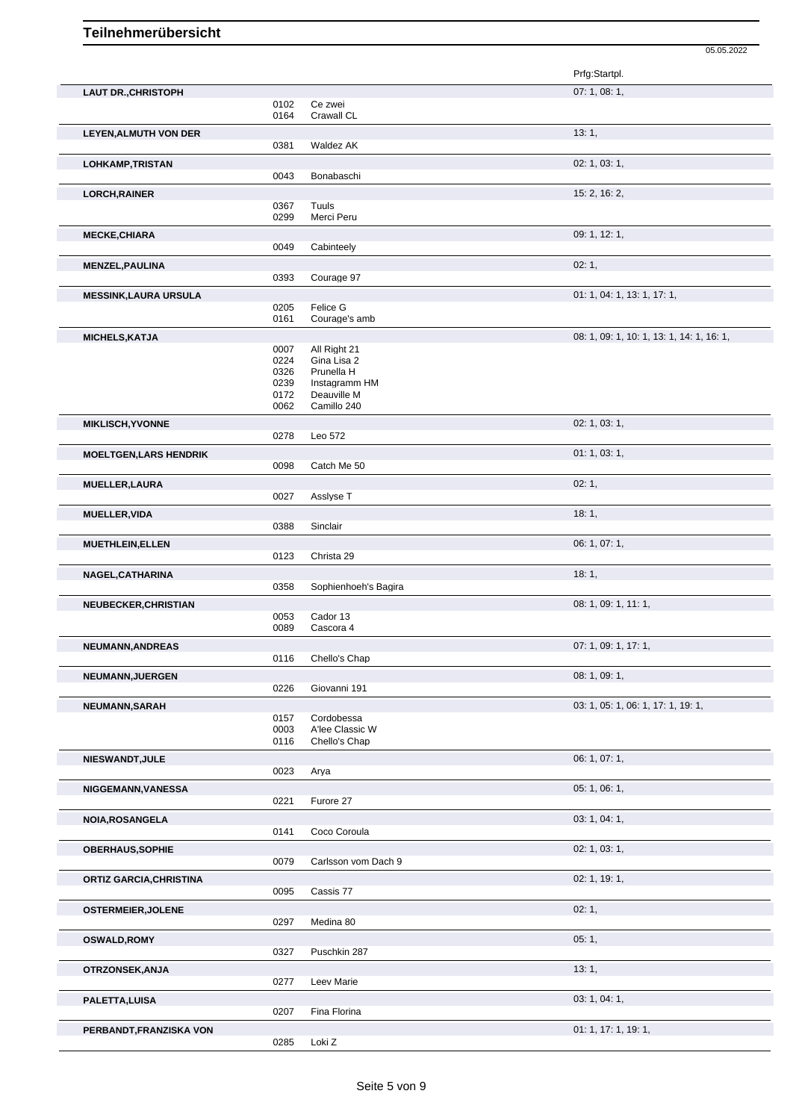|                                |              |                             | Prfg:Startpl.                             |
|--------------------------------|--------------|-----------------------------|-------------------------------------------|
| <b>LAUT DR., CHRISTOPH</b>     |              |                             | 07: 1, 08: 1,                             |
|                                | 0102         | Ce zwei                     |                                           |
|                                | 0164         | Crawall CL                  |                                           |
| <b>LEYEN, ALMUTH VON DER</b>   |              |                             | 13:1,                                     |
|                                | 0381         | Waldez AK                   |                                           |
| <b>LOHKAMP,TRISTAN</b>         |              |                             | 02: 1, 03: 1,                             |
|                                | 0043         | Bonabaschi                  |                                           |
| <b>LORCH, RAINER</b>           |              |                             | 15: 2, 16: 2,                             |
|                                | 0367         | Tuuls                       |                                           |
|                                | 0299         | Merci Peru                  |                                           |
| <b>MECKE, CHIARA</b>           |              |                             | 09: 1, 12: 1,                             |
|                                | 0049         | Cabinteely                  |                                           |
| <b>MENZEL, PAULINA</b>         |              |                             | 02:1,                                     |
|                                | 0393         | Courage 97                  |                                           |
| <b>MESSINK, LAURA URSULA</b>   |              |                             | 01: 1, 04: 1, 13: 1, 17: 1,               |
|                                | 0205         | Felice G                    |                                           |
|                                | 0161         | Courage's amb               |                                           |
| <b>MICHELS, KATJA</b>          |              |                             | 08: 1, 09: 1, 10: 1, 13: 1, 14: 1, 16: 1, |
|                                | 0007         | All Right 21                |                                           |
|                                | 0224         | Gina Lisa 2                 |                                           |
|                                | 0326<br>0239 | Prunella H<br>Instagramm HM |                                           |
|                                | 0172         | Deauville M                 |                                           |
|                                | 0062         | Camillo 240                 |                                           |
| <b>MIKLISCH, YVONNE</b>        |              |                             | 02: 1, 03: 1,                             |
|                                | 0278         | Leo 572                     |                                           |
| <b>MOELTGEN, LARS HENDRIK</b>  |              |                             | 01:1,03:1,                                |
|                                | 0098         | Catch Me 50                 |                                           |
| <b>MUELLER, LAURA</b>          |              |                             | 02:1,                                     |
|                                | 0027         | Asslyse T                   |                                           |
| <b>MUELLER, VIDA</b>           |              |                             | 18:1,                                     |
|                                | 0388         | Sinclair                    |                                           |
| <b>MUETHLEIN, ELLEN</b>        |              |                             | 06: 1, 07: 1,                             |
|                                | 0123         | Christa 29                  |                                           |
|                                |              |                             | 18:1,                                     |
| NAGEL, CATHARINA               | 0358         | Sophienhoeh's Bagira        |                                           |
|                                |              |                             | 08: 1, 09: 1, 11: 1,                      |
| NEUBECKER, CHRISTIAN           | 0053         | Cador 13                    |                                           |
|                                | 0089         | Cascora 4                   |                                           |
| NEUMANN, ANDREAS               |              |                             | 07: 1, 09: 1, 17: 1,                      |
|                                | 0116         | Chello's Chap               |                                           |
| <b>NEUMANN, JUERGEN</b>        |              |                             | 08: 1, 09: 1,                             |
|                                | 0226         | Giovanni 191                |                                           |
| NEUMANN, SARAH                 |              |                             | 03: 1, 05: 1, 06: 1, 17: 1, 19: 1,        |
|                                | 0157         | Cordobessa                  |                                           |
|                                | 0003         | A'lee Classic W             |                                           |
|                                | 0116         | Chello's Chap               |                                           |
| NIESWANDT, JULE                |              |                             | 06: 1, 07: 1,                             |
|                                | 0023         | Arya                        |                                           |
| NIGGEMANN, VANESSA             |              |                             | 05: 1, 06: 1,                             |
|                                | 0221         | Furore 27                   |                                           |
| <b>NOIA, ROSANGELA</b>         |              |                             | 03: 1, 04: 1,                             |
|                                | 0141         | Coco Coroula                |                                           |
| <b>OBERHAUS, SOPHIE</b>        |              |                             | 02: 1, 03: 1,                             |
|                                | 0079         | Carlsson vom Dach 9         |                                           |
| <b>ORTIZ GARCIA, CHRISTINA</b> |              |                             | 02: 1, 19: 1,                             |
|                                | 0095         | Cassis 77                   |                                           |
| <b>OSTERMEIER, JOLENE</b>      |              |                             | 02:1,                                     |
|                                | 0297         | Medina 80                   |                                           |
| <b>OSWALD, ROMY</b>            |              |                             | 05:1,                                     |
|                                | 0327         | Puschkin 287                |                                           |
| OTRZONSEK, ANJA                |              |                             | 13:1,                                     |
|                                | 0277         | Leev Marie                  |                                           |
| PALETTA, LUISA                 |              |                             | 03: 1, 04: 1,                             |
|                                | 0207         | Fina Florina                |                                           |

05.05.2022

**PERBANDT,FRANZISKA VON** 0285 Loki Z<br>0285 Loki Z

Loki Z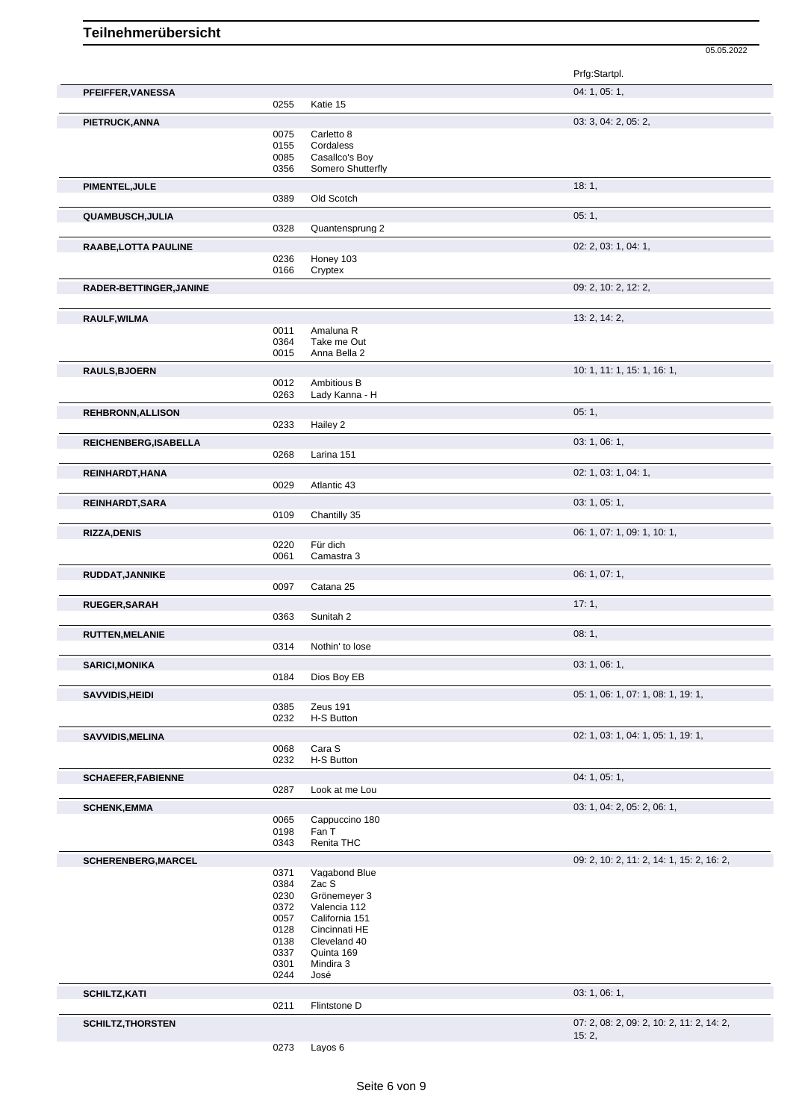|                            |              |                              | Prfg:Startpl.                             |
|----------------------------|--------------|------------------------------|-------------------------------------------|
| PFEIFFER, VANESSA          |              |                              | 04: 1, 05: 1,                             |
|                            | 0255         | Katie 15                     |                                           |
| PIETRUCK, ANNA             | 0075         | Carletto 8                   | 03: 3, 04: 2, 05: 2,                      |
|                            | 0155         | Cordaless                    |                                           |
|                            | 0085         | Casallco's Boy               |                                           |
|                            | 0356         | Somero Shutterfly            |                                           |
| PIMENTEL, JULE             |              |                              | 18:1,                                     |
|                            | 0389         | Old Scotch                   |                                           |
| QUAMBUSCH, JULIA           |              |                              | 05:1,                                     |
|                            | 0328         | Quantensprung 2              |                                           |
| RAABE, LOTTA PAULINE       |              |                              | 02: 2, 03: 1, 04: 1,                      |
|                            | 0236         | Honey 103                    |                                           |
|                            | 0166         | Cryptex                      |                                           |
| RADER-BETTINGER, JANINE    |              |                              | 09: 2, 10: 2, 12: 2,                      |
|                            |              |                              |                                           |
| RAULF, WILMA               |              | Amaluna R                    | 13: 2, 14: 2,                             |
|                            | 0011<br>0364 | Take me Out                  |                                           |
|                            | 0015         | Anna Bella 2                 |                                           |
|                            |              |                              |                                           |
| <b>RAULS, BJOERN</b>       | 0012         | Ambitious B                  | 10: 1, 11: 1, 15: 1, 16: 1,               |
|                            | 0263         | Lady Kanna - H               |                                           |
| <b>REHBRONN, ALLISON</b>   |              |                              | 05:1,                                     |
|                            | 0233         | Hailey 2                     |                                           |
| REICHENBERG, ISABELLA      |              |                              | 03: 1, 06: 1,                             |
|                            | 0268         | Larina 151                   |                                           |
| REINHARDT, HANA            |              |                              | 02: 1, 03: 1, 04: 1,                      |
|                            | 0029         | Atlantic 43                  |                                           |
| REINHARDT, SARA            |              |                              | 03: 1, 05: 1,                             |
|                            | 0109         | Chantilly 35                 |                                           |
|                            |              |                              |                                           |
| <b>RIZZA, DENIS</b>        | 0220         | Für dich                     | 06: 1, 07: 1, 09: 1, 10: 1,               |
|                            | 0061         | Camastra 3                   |                                           |
| RUDDAT, JANNIKE            |              |                              | 06: 1, 07: 1,                             |
|                            | 0097         | Catana 25                    |                                           |
|                            |              |                              | 17:1,                                     |
| RUEGER, SARAH              | 0363         | Sunitah 2                    |                                           |
|                            |              |                              |                                           |
| <b>RUTTEN, MELANIE</b>     | 0314         | Nothin' to lose              | 08:1,                                     |
|                            |              |                              |                                           |
| <b>SARICI, MONIKA</b>      | 0184         | Dios Boy EB                  | 03: 1, 06: 1,                             |
|                            |              |                              |                                           |
| SAVVIDIS, HEIDI            |              | Zeus 191                     | 05: 1, 06: 1, 07: 1, 08: 1, 19: 1,        |
|                            | 0385<br>0232 | H-S Button                   |                                           |
|                            |              |                              | 02: 1, 03: 1, 04: 1, 05: 1, 19: 1,        |
| <b>SAVVIDIS, MELINA</b>    | 0068         | Cara S                       |                                           |
|                            | 0232         | H-S Button                   |                                           |
| <b>SCHAEFER, FABIENNE</b>  |              |                              | 04: 1, 05: 1,                             |
|                            | 0287         | Look at me Lou               |                                           |
| <b>SCHENK, EMMA</b>        |              |                              | 03: 1, 04: 2, 05: 2, 06: 1,               |
|                            | 0065         | Cappuccino 180               |                                           |
|                            | 0198         | Fan T                        |                                           |
|                            | 0343         | Renita THC                   |                                           |
| <b>SCHERENBERG, MARCEL</b> |              |                              | 09: 2, 10: 2, 11: 2, 14: 1, 15: 2, 16: 2, |
|                            | 0371         | Vagabond Blue                |                                           |
|                            | 0384         | Zac S                        |                                           |
|                            | 0230<br>0372 | Grönemeyer 3<br>Valencia 112 |                                           |
|                            | 0057         | California 151               |                                           |
|                            | 0128         | Cincinnati HE                |                                           |
|                            | 0138         | Cleveland 40                 |                                           |
|                            | 0337         | Quinta 169                   |                                           |
|                            | 0301         | Mindira 3                    |                                           |
|                            | 0244         | José                         |                                           |
| <b>SCHILTZ, KATI</b>       |              |                              | 03: 1, 06: 1,                             |
|                            | 0211         | Flintstone D                 |                                           |
| <b>SCHILTZ, THORSTEN</b>   |              |                              | 07: 2, 08: 2, 09: 2, 10: 2, 11: 2, 14: 2, |
|                            |              |                              | 15:2,                                     |

05.05.2022

0273 Layos 6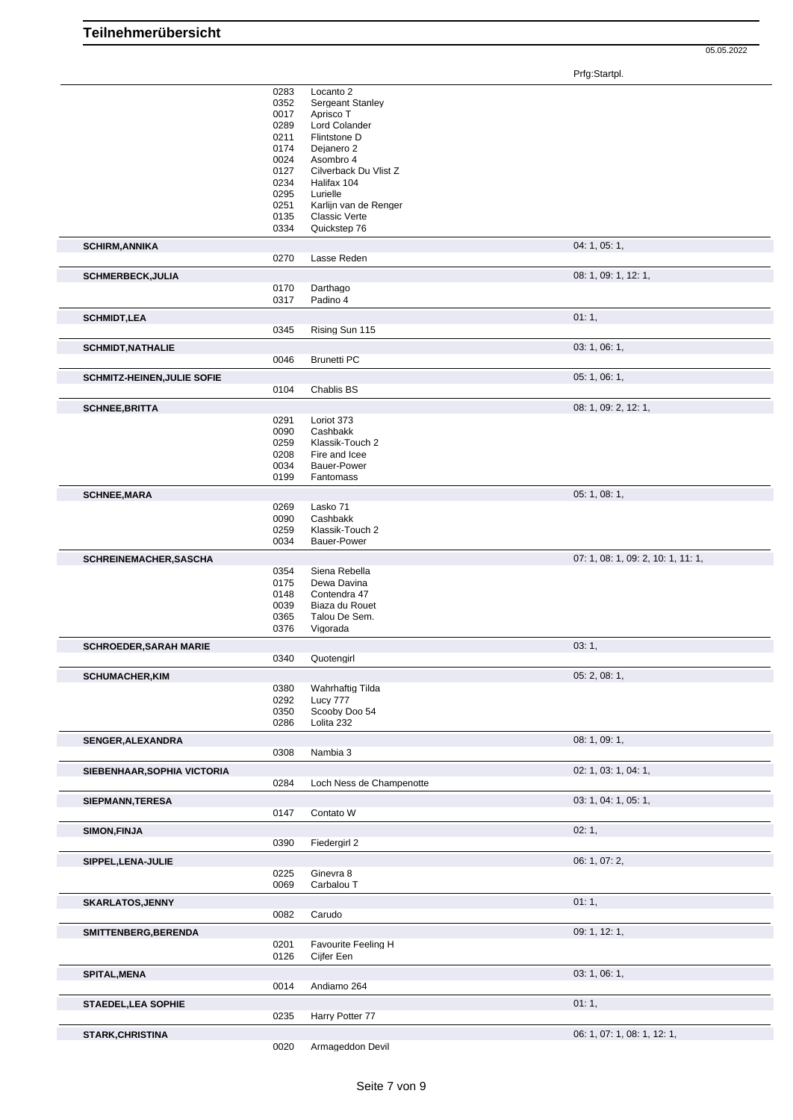05.05.2022

Prfg:Startpl.

|                                    | 0283 | Locanto 2                |                                    |
|------------------------------------|------|--------------------------|------------------------------------|
|                                    | 0352 | <b>Sergeant Stanley</b>  |                                    |
|                                    | 0017 | Aprisco T                |                                    |
|                                    | 0289 | Lord Colander            |                                    |
|                                    | 0211 | Flintstone D             |                                    |
|                                    | 0174 | Dejanero 2               |                                    |
|                                    |      |                          |                                    |
|                                    | 0024 | Asombro 4                |                                    |
|                                    | 0127 | Cilverback Du Vlist Z    |                                    |
|                                    | 0234 | Halifax 104              |                                    |
|                                    | 0295 | Lurielle                 |                                    |
|                                    | 0251 | Karlijn van de Renger    |                                    |
|                                    | 0135 | <b>Classic Verte</b>     |                                    |
|                                    | 0334 |                          |                                    |
|                                    |      | Quickstep 76             |                                    |
| <b>SCHIRM, ANNIKA</b>              |      |                          | 04: 1, 05: 1,                      |
|                                    | 0270 | Lasse Reden              |                                    |
|                                    |      |                          |                                    |
| <b>SCHMERBECK, JULIA</b>           |      |                          | 08: 1, 09: 1, 12: 1,               |
|                                    | 0170 | Darthago                 |                                    |
|                                    | 0317 | Padino 4                 |                                    |
|                                    |      |                          |                                    |
| <b>SCHMIDT, LEA</b>                |      |                          | 01:1,                              |
|                                    | 0345 | Rising Sun 115           |                                    |
|                                    |      |                          |                                    |
| <b>SCHMIDT, NATHALIE</b>           |      |                          | 03: 1, 06: 1,                      |
|                                    | 0046 | <b>Brunetti PC</b>       |                                    |
|                                    |      |                          |                                    |
| <b>SCHMITZ-HEINEN, JULIE SOFIE</b> |      |                          | 05: 1, 06: 1,                      |
|                                    | 0104 | Chablis BS               |                                    |
|                                    |      |                          |                                    |
| <b>SCHNEE, BRITTA</b>              |      |                          | 08: 1, 09: 2, 12: 1,               |
|                                    | 0291 | Loriot 373               |                                    |
|                                    | 0090 | Cashbakk                 |                                    |
|                                    | 0259 | Klassik-Touch 2          |                                    |
|                                    |      |                          |                                    |
|                                    | 0208 | Fire and Icee            |                                    |
|                                    | 0034 | <b>Bauer-Power</b>       |                                    |
|                                    | 0199 | Fantomass                |                                    |
|                                    |      |                          | 05: 1, 08: 1,                      |
| <b>SCHNEE, MARA</b>                |      |                          |                                    |
|                                    | 0269 | Lasko 71                 |                                    |
|                                    | 0090 | Cashbakk                 |                                    |
|                                    | 0259 | Klassik-Touch 2          |                                    |
|                                    | 0034 | <b>Bauer-Power</b>       |                                    |
|                                    |      |                          |                                    |
|                                    |      |                          | 07: 1, 08: 1, 09: 2, 10: 1, 11: 1, |
| SCHREINEMACHER, SASCHA             |      |                          |                                    |
|                                    | 0354 | Siena Rebella            |                                    |
|                                    |      | Dewa Davina              |                                    |
|                                    | 0175 |                          |                                    |
|                                    | 0148 | Contendra 47             |                                    |
|                                    | 0039 | Biaza du Rouet           |                                    |
|                                    | 0365 | Talou De Sem.            |                                    |
|                                    | 0376 | Vigorada                 |                                    |
|                                    |      |                          |                                    |
| <b>SCHROEDER, SARAH MARIE</b>      |      |                          | 03:1,                              |
|                                    | 0340 | Quotengirl               |                                    |
| <b>SCHUMACHER.KIM</b>              |      |                          |                                    |
|                                    |      |                          | 05: 2, 08: 1,                      |
|                                    | 0380 | <b>Wahrhaftig Tilda</b>  |                                    |
|                                    | 0292 | Lucy 777                 |                                    |
|                                    | 0350 | Scooby Doo 54            |                                    |
|                                    | 0286 | Lolita 232               |                                    |
|                                    |      |                          |                                    |
| <b>SENGER, ALEXANDRA</b>           |      |                          | 08: 1, 09: 1,                      |
|                                    | 0308 | Nambia 3                 |                                    |
|                                    |      |                          |                                    |
| SIEBENHAAR, SOPHIA VICTORIA        |      |                          | 02: 1, 03: 1, 04: 1,               |
|                                    | 0284 | Loch Ness de Champenotte |                                    |
| SIEPMANN, TERESA                   |      |                          | 03: 1, 04: 1, 05: 1,               |
|                                    |      |                          |                                    |
|                                    | 0147 | Contato W                |                                    |
| <b>SIMON, FINJA</b>                |      |                          | 02:1,                              |
|                                    | 0390 | Fiedergirl 2             |                                    |
|                                    |      |                          |                                    |
| SIPPEL, LENA-JULIE                 |      |                          | 06: 1, 07: 2,                      |
|                                    | 0225 | Ginevra 8                |                                    |
|                                    | 0069 | Carbalou T               |                                    |
|                                    |      |                          |                                    |
| <b>SKARLATOS, JENNY</b>            |      |                          | 01:1,                              |
|                                    | 0082 | Carudo                   |                                    |
|                                    |      |                          |                                    |
| SMITTENBERG, BERENDA               |      |                          | 09: 1, 12: 1,                      |
|                                    | 0201 | Favourite Feeling H      |                                    |
|                                    | 0126 | Cijfer Een               |                                    |
|                                    |      |                          |                                    |
| <b>SPITAL, MENA</b>                |      |                          | 03: 1, 06: 1,                      |
|                                    | 0014 | Andiamo 264              |                                    |
|                                    |      |                          |                                    |
| <b>STAEDEL, LEA SOPHIE</b>         |      |                          | 01:1,                              |
|                                    | 0235 | Harry Potter 77          |                                    |
|                                    |      |                          |                                    |
| <b>STARK, CHRISTINA</b>            | 0020 | Armageddon Devil         | 06: 1, 07: 1, 08: 1, 12: 1,        |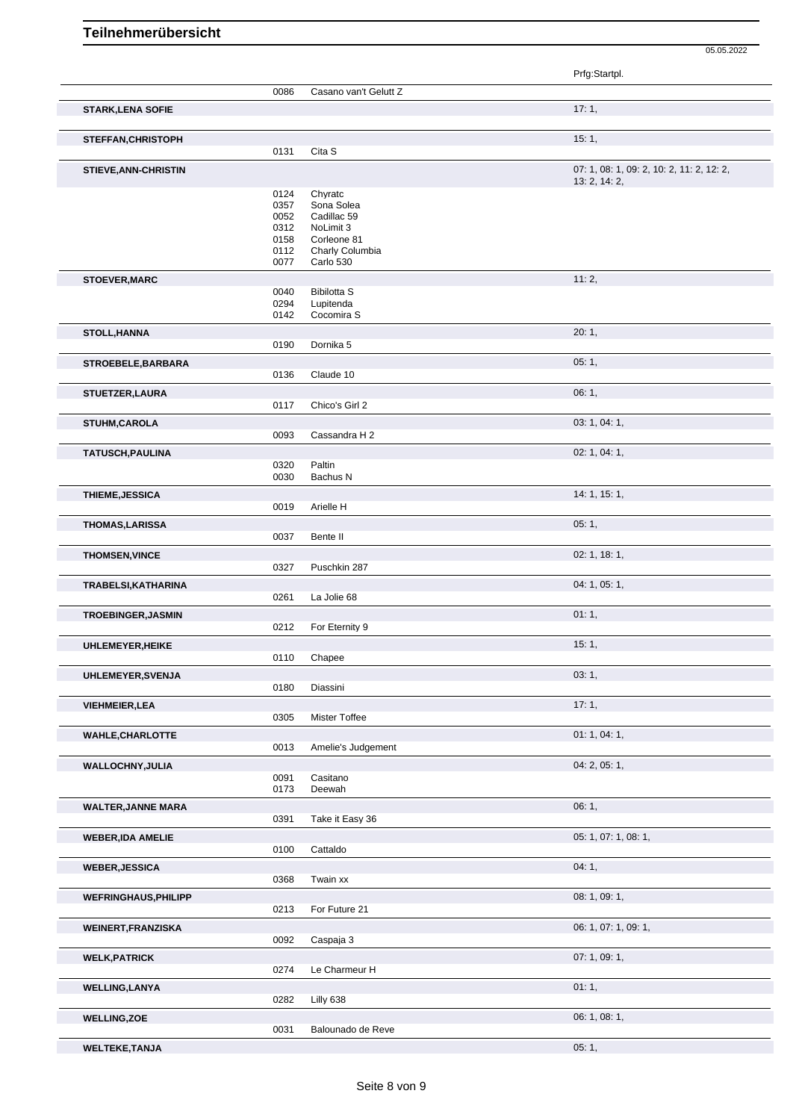Prfg:Startpl. 0086 Casano van't Gelutt Z **STARK,LENA SOFIE** 17: 1, **STEFFAN,CHRISTOPH** 15: 1, 20131 Cita S Cita S **STIEVE,ANN-CHRISTIN** 07: 1, 08: 1, 09: 2, 10: 2, 11: 2, 12: 2, 13: 2, 14: 2, 0124 Chyratc<br>0357 Sona Sc 0357 Sona Solea<br>0052 Cadillac 59 0052 Cadillac 59<br>0312 NoLimit 3 0312 NoLimit 3<br>0158 Corleone 0158 Corleone 81<br>0112 Charly Colur 0112 Charly Columbia<br>0077 Carlo 530 Carlo 530 **STOEVER, MARC** 11: 2, 0040 Bibilotta S 0294 Lupitenda<br>0142 Cocomira Cocomira S **STOLL,HANNA** 20: 1, 0190 Dornika 5 **STROEBELE,BARBARA** 05: 1, 05: 1, 05: 1, 05: 1, 05: 1, 05: 1, 05: 1, 05: 1, 05: 1, 05: 1, 05: 1, 05: 1, 05: 1, 05: 1, 05: 1, 05: 1, 05: 1, 05: 1, 05: 1, 05: 1, 05: 1, 05: 1, 05: 1, 05: 1, 05: 1, 05: 1, 05: 1, 05: 1, 05: 1, 0136 Claude 10 **STUETZER,LAURA** 06: 1, 06: 1, 06: 1, 06: 1, 06: 1, 06: 1, 06: 1, 06: 1, 06: 1, 06: 1, 06: 1, 06: 1, 06: 1, 06: 1, 06: 1, 06: 1, 06: 1, 06: 1, 06: 1, 06: 1, 06: 1, 06: 1, 06: 1, 06: 1, 06: 1, 06: 1, 06: 1, 06: 1, 06: 1, 06 0117 Chico's Girl 2 **STUHM,CAROLA** 03: 1, 04: 1, 0093 Cassandra H 2 **TATUSCH,PAULINA** 02: 1, 04: 1, 0320 Paltin 0030 Bachus N **THIEME,JESSICA** 14: 1, 15: 1, 0019 Arielle H **THOMAS,LARISSA** 05: 1, Bente II **THOMSEN, VINCE** 02: 1, 18: 1, 0327 Puschkin 287 Pusch 287 Pusch 287 Pusch 287 Pusch 287 Distribution of the USA of the USA of the USA of the USA of the USA of the USA of the USA of the USA of the USA of the USA of the USA Puschkin 287 **TRABELSI,KATHARINA** 0261 La Jolie 68 **CONSERVERY 04: 1, 05: 1,** 05: 1, 05: 1, 05: 1, 05: 1, 05: 1, 05: 1, 05: 1, 05: 1, 05: 1, 05: 1, 05: 1, 05: 1, 05: 1, 05: 1, 05: 1, 05: 1, 05: 1, 05: 1, 05: 1, 05: 1, 05: 1, 05: 1, 05: La Jolie 68 **TROEBINGER, JASMIN** 0212 For Eternity 9 0212 **CONSERVERGER** For Eternity 9 **UHLEMEYER, HEIKE** 15: 1, 2010 Chapee 15: 1, 2010 Chappee 15: 1, 2010 Chappee 15: 1, 2010 Chappee 15: 1, 2010 Chappee 15: 1, 2010 Chappee 15: 1, 2010 Chappee 15: 1, 2010 Chappee 15: 1, 2010 Chappee 15: 1, 2010 Chappee 15: Chapee **UHLEMEYER,SVENJA** 03: 1, Diassini **VIEHMEIER,LEA** 17: 1, **Mister Toffee WAHLE, CHARLOTTE** 01: 1, 04: 1, 04: 1, 04: 1, 04: 1, 04: 1, 04: 1, 04: 1, 04: 1, 04: 1, 04: 1, 04: 1, 04: 1, 05 Amelie's Judgement **WALLOCHNY,JULIA** 04: 2, 05: 1, 0091 Casitano 0173 Deewah **WALTER,JANNE MARA** 06: 1, 0391 Take it Easy 36 **WEBER,IDA AMELIE** 0100 Cattaldo 05: 1, 07: 1, 08: 1, 07: 1, 08: 1, 07: 1, 08: 1, 07: 1, 08: 1, 07: 1, 08: 1, 07: 1, 08: 1, 07: 1, 08: 1, 07: 1, 08: 1, 07: 1, 08: 1, 07: 1, 08: 1, 07: 1, 08: 1, 07: 1, 08: 1, 07: 1, 08: 1, Cattaldo **WEBER,JESSICA** 04: 1, 0368 Twain xx **WEFRINGHAUS, PHILIPP** 08: 1, 09: 1, 0213 For Future 21 **WEINERT,FRANZISKA** 06: 1, 07: 1, 09: 1, 0092 Caspaja 3 **WELK,PATRICK** 07: 1, 09: 1, 0274 Le Charmeur H **WELLING,LANYA** 01: 1, 00: 1, 00: 1, 00: 1, 00: 1, 00: 1, 00: 1, 00: 1, 00: 1, 00: 1, 00: 1, 00: 1, 00: 1, 00: 1, 00: 1, 00: 1, 00: 1, 00: 1, 00: 1, 00: 1, 00: 1, 00: 1, 00: 1, 00: 1, 00: 1, 00: 1, 00: 1, 00: 1, 00: 00: 1, 0282 Lilly 638 **WELLING,ZOE** 06: 1, 08: 1, 08: 1, 08: 1, 08: 1, 08: 1, 08: 1, 08: 1, 08: 1, 08: 1, 08: 1, 08: 1, 08: 1, 08: 1, 08: 1, 08: 1, 08: 1, 08: 1, 08: 1, 08: 1, 08: 1, 08: 1, 08: 1, 08: 1, 08: 1, 08: 1, 08: 1, 08: 1, 08: 1, 08: 1 Balounado de Reve

05.05.2022

**WELTEKE,TANJA** 05: 1,